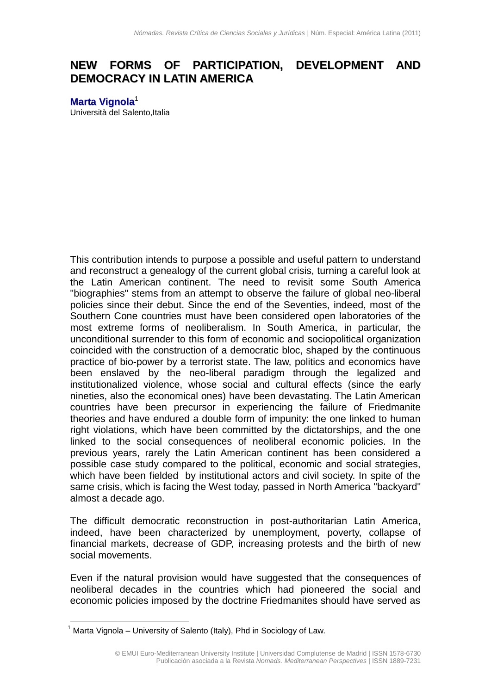## **NEW FORMS OF PARTICIPATION, DEVELOPMENT AND DEMOCRACY IN LATIN AMERICA**

**Marta [Vignola](mailto:marvignola@yahoo.com)** 1 Università del Salento, Italia

This contribution intends to purpose a possible and useful pattern to understand and reconstruct a genealogy of the current global crisis, turning a careful look at the Latin American continent. The need to revisit some South America "biographies" stems from an attempt to observe the failure of global neo-liberal policies since their debut. Since the end of the Seventies, indeed, most of the Southern Cone countries must have been considered open laboratories of the most extreme forms of neoliberalism. In South America, in particular, the unconditional surrender to this form of economic and sociopolitical organization coincided with the construction of a democratic bloc, shaped by the continuous practice of bio-power by a terrorist state. The law, politics and economics have been enslaved by the neo-liberal paradigm through the legalized and institutionalized violence, whose social and cultural effects (since the early nineties, also the economical ones) have been devastating. The Latin American countries have been precursor in experiencing the failure of Friedmanite theories and have endured a double form of impunity: the one linked to human right violations, which have been committed by the dictatorships, and the one linked to the social consequences of neoliberal economic policies. In the previous years, rarely the Latin American continent has been considered a possible case study compared to the political, economic and social strategies, which have been fielded by institutional actors and civil society. In spite of the same crisis, which is facing the West today, passed in North America "backyard" almost a decade ago.

The difficult democratic reconstruction in post-authoritarian Latin America, indeed, have been characterized by unemployment, poverty, collapse of financial markets, decrease of GDP, increasing protests and the birth of new social movements.

Even if the natural provision would have suggested that the consequences of neoliberal decades in the countries which had pioneered the social and economic policies imposed by the doctrine Friedmanites should have served as

1

Marta Vignola – University of Salento (Italy), Phd in Sociology of Law.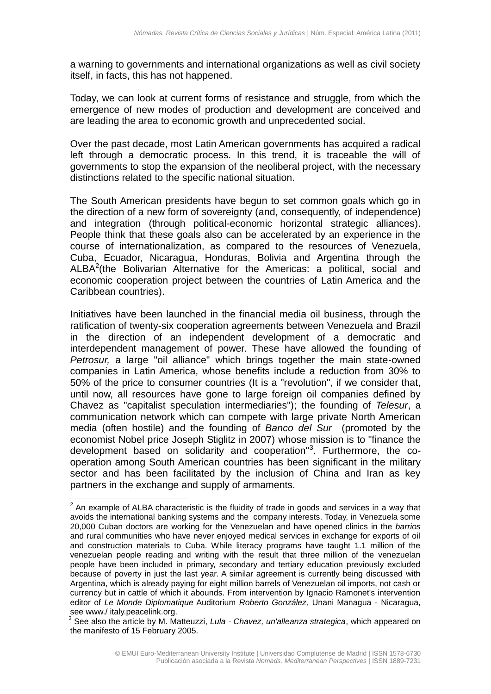a warning to governments and international organizations as well as civil society itself, in facts, this has not happened.

Today, we can look at current forms of resistance and struggle, from which the emergence of new modes of production and development are conceived and are leading the area to economic growth and unprecedented social.

Over the past decade, most Latin American governments has acquired a radical left through a democratic process. In this trend, it is traceable the will of governments to stop the expansion of the neoliberal project, with the necessary distinctions related to the specific national situation.

The South American presidents have begun to set common goals which go in the direction of a new form of sovereignty (and, consequently, of independence) and integration (through political-economic horizontal strategic alliances). People think that these goals also can be accelerated by an experience in the course of internationalization, as compared to the resources of Venezuela, Cuba, Ecuador, Nicaragua, Honduras, Bolivia and Argentina through the ALBA<sup>2</sup>(the Bolivarian Alternative for the Americas: a political, social and economic cooperation project between the countries of Latin America and the Caribbean countries).

Initiatives have been launched in the financial media oil business, through the ratification of twenty-six cooperation agreements between Venezuela and Brazil in the direction of an independent development of a democratic and interdependent management of power. These have allowed the founding of *Petrosur,* a large "oil alliance" which brings together the main state-owned companies in Latin America, whose benefits include a reduction from 30% to 50% of the price to consumer countries (It is a "revolution", if we consider that, until now, all resources have gone to large foreign oil companies defined by Chavez as "capitalist speculation intermediaries"); the founding of *Telesur*, a communication network which can compete with large private North American media (often hostile) and the founding of *Banco del Sur* (promoted by the economist Nobel price Joseph Stiglitz in 2007) whose mission is to "finance the development based on solidarity and cooperation"<sup>3</sup>. Furthermore, the cooperation among South American countries has been significant in the military sector and has been facilitated by the inclusion of China and Iran as key partners in the exchange and supply of armaments.

 $2$  An example of ALBA characteristic is the fluidity of trade in goods and services in a way that avoids the international banking systems and the company interests. Today, in Venezuela some 20,000 Cuban doctors are working for the Venezuelan and have opened clinics in the *barrios* and rural communities who have never enjoyed medical services in exchange for exports of oil and construction materials to Cuba. While literacy programs have taught 1.1 million of the venezuelan people reading and writing with the result that three million of the venezuelan people have been included in primary, secondary and tertiary education previously excluded because of poverty in just the last year. A similar agreement is currently being discussed with Argentina, which is already paying for eight million barrels of Venezuelan oil imports, not cash or currency but in cattle of which it abounds. From intervention by Ignacio Ramonet's intervention editor of *Le Monde Diplomatique* Auditorium *Roberto González,* Unani Managua - Nicaragua, see www./ italy.peacelink.org.

<sup>3</sup> See also the article by M. Matteuzzi, *Lula - Chavez, un'alleanza strategica*, which appeared on the manifesto of 15 February 2005.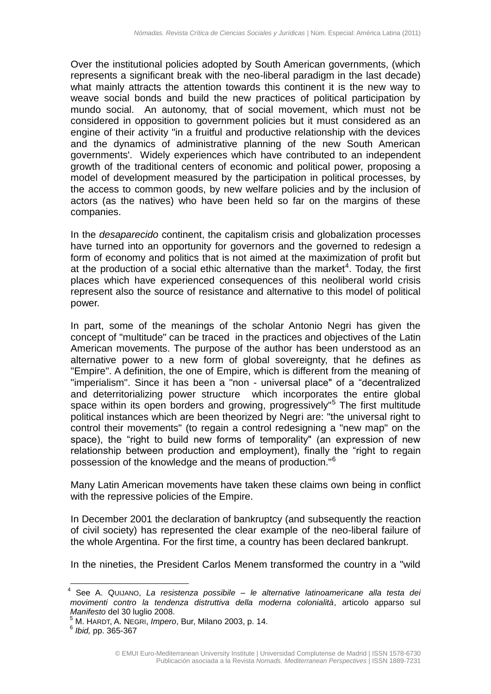Over the institutional policies adopted by South American governments, (which represents a significant break with the neo-liberal paradigm in the last decade) what mainly attracts the attention towards this continent it is the new way to weave social bonds and build the new practices of political participation by mundo social. An autonomy, that of social movement, which must not be considered in opposition to government policies but it must considered as an engine of their activity "in a fruitful and productive relationship with the devices and the dynamics of administrative planning of the new South American governments'. Widely experiences which have contributed to an independent growth of the traditional centers of economic and political power, proposing a model of development measured by the participation in political processes, by the access to common goods, by new welfare policies and by the inclusion of actors (as the natives) who have been held so far on the margins of these companies.

In the *desaparecido* continent, the capitalism crisis and globalization processes have turned into an opportunity for governors and the governed to redesign a form of economy and politics that is not aimed at the maximization of profit but at the production of a social ethic alternative than the market<sup>4</sup>. Today, the first places which have experienced consequences of this neoliberal world crisis represent also the source of resistance and alternative to this model of political power.

In part, some of the meanings of the scholar Antonio Negri has given the concept of "multitude" can be traced in the practices and objectives of the Latin American movements. The purpose of the author has been understood as an alternative power to a new form of global sovereignty, that he defines as "Empire". A definition, the one of Empire, which is different from the meaning of "imperialism". Since it has been a "non - universal place" of a "decentralized and deterritorializing power structure which incorporates the entire global space within its open borders and growing, progressively<sup>"5</sup> The first multitude political instances which are been theorized by Negri are: "the universal right to control their movements" (to regain a control redesigning a "new map" on the space), the "right to build new forms of temporality" (an expression of new relationship between production and employment), finally the "right to regain possession of the knowledge and the means of production."<sup>6</sup>

Many Latin American movements have taken these claims own being in conflict with the repressive policies of the Empire.

In December 2001 the declaration of bankruptcy (and subsequently the reaction of civil society) has represented the clear example of the neo-liberal failure of the whole Argentina. For the first time, a country has been declared bankrupt.

In the nineties, the President Carlos Menem transformed the country in a "wild

<sup>&</sup>lt;u>.</u> 4 See A. QUIJANO, *La resistenza possibile – le alternative latinoamericane alla testa dei movimenti contro la tendenza distruttiva della moderna colonialità*, articolo apparso sul *Manifesto* del 30 luglio 2008.

<sup>5</sup> M. HARDT, A. NEGRI, *Impero*, Bur, Milano 2003, p. 14.

<sup>6</sup> *Ibid,* pp. 365-367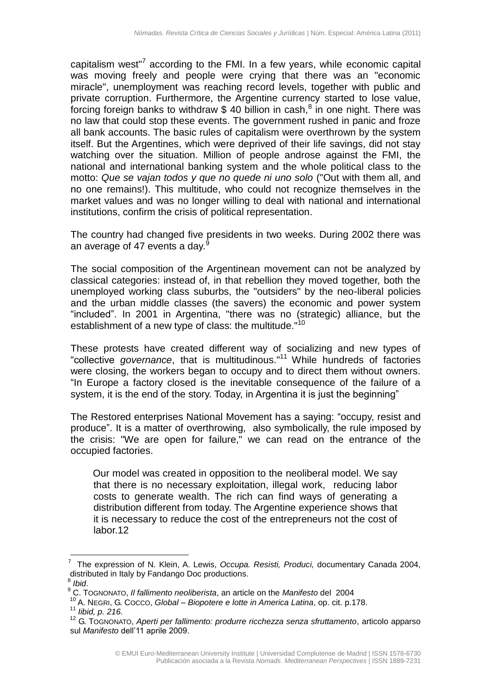capitalism west<sup>"7</sup> according to the FMI. In a few years, while economic capital was moving freely and people were crying that there was an "economic miracle", unemployment was reaching record levels, together with public and private corruption. Furthermore, the Argentine currency started to lose value, forcing foreign banks to withdraw \$ 40 billion in cash,<sup>8</sup> in one night. There was no law that could stop these events. The government rushed in panic and froze all bank accounts. The basic rules of capitalism were overthrown by the system itself. But the Argentines, which were deprived of their life savings, did not stay watching over the situation. Million of people androse against the FMI, the national and international banking system and the whole political class to the motto: *Que se vajan todos y que no quede ni uno solo* ("Out with them all, and no one remains!). This multitude, who could not recognize themselves in the market values and was no longer willing to deal with national and international institutions, confirm the crisis of political representation.

The country had changed five presidents in two weeks. During 2002 there was an average of 47 events a day.<sup>9</sup>

The social composition of the Argentinean movement can not be analyzed by classical categories: instead of, in that rebellion they moved together, both the unemployed working class suburbs, the "outsiders" by the neo-liberal policies and the urban middle classes (the savers) the economic and power system "included". In 2001 in Argentina, "there was no (strategic) alliance, but the establishment of a new type of class: the multitude."<sup>10</sup>

These protests have created different way of socializing and new types of "collective *governance*, that is multitudinous."<sup>11</sup> While hundreds of factories were closing, the workers began to occupy and to direct them without owners. "In Europe a factory closed is the inevitable consequence of the failure of a system, it is the end of the story. Today, in Argentina it is just the beginning"

The Restored enterprises National Movement has a saying: "occupy, resist and produce". It is a matter of overthrowing, also symbolically, the rule imposed by the crisis: "We are open for failure," we can read on the entrance of the occupied factories.

Our model was created in opposition to the neoliberal model. We say that there is no necessary exploitation, illegal work, reducing labor costs to generate wealth. The rich can find ways of generating a distribution different from today. The Argentine experience shows that it is necessary to reduce the cost of the entrepreneurs not the cost of labor.12

<sup>7</sup> The expression of N. Klein, A. Lewis, *Occupa. Resisti, Produci,* documentary Canada 2004, distributed in Italy by Fandango Doc productions.

<sup>8</sup> *Ibid*.

<sup>9</sup> C. TOGNONATO, *Il fallimento neoliberista*, an article on the *Manifesto* del 2004

<sup>10</sup> A. NEGRI, G. COCCO, *Global – Biopotere e lotte in America Latina*, op. cit. p.178. <sup>11</sup> *Iibid, p. 216.*

<sup>12</sup> G. TOGNONATO, *Aperti per fallimento: produrre ricchezza senza sfruttamento*, articolo apparso sul *Manifesto* dell'11 aprile 2009.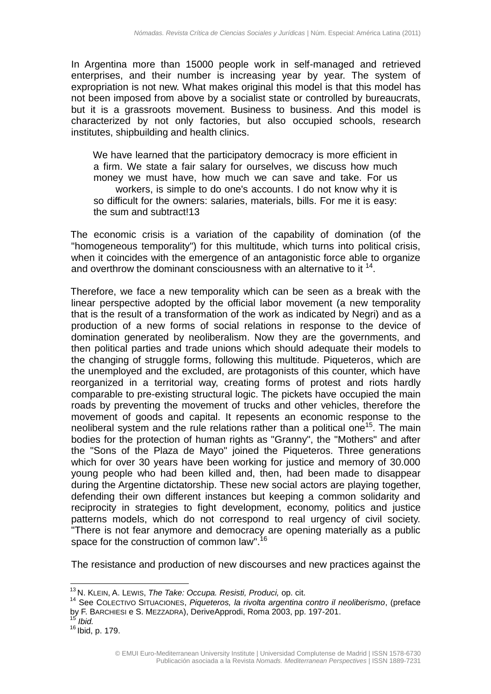In Argentina more than 15000 people work in self-managed and retrieved enterprises, and their number is increasing year by year. The system of expropriation is not new. What makes original this model is that this model has not been imposed from above by a socialist state or controlled by bureaucrats, but it is a grassroots movement. Business to business. And this model is characterized by not only factories, but also occupied schools, research institutes, shipbuilding and health clinics.

We have learned that the participatory democracy is more efficient in a firm. We state a fair salary for ourselves, we discuss how much money we must have, how much we can save and take. For us workers, is simple to do one's accounts. I do not know why it is so difficult for the owners: salaries, materials, bills. For me it is easy: the sum and subtract!13

The economic crisis is a variation of the capability of domination (of the "homogeneous temporality") for this multitude, which turns into political crisis, when it coincides with the emergence of an antagonistic force able to organize and overthrow the dominant consciousness with an alternative to it  $14$ .

Therefore, we face a new temporality which can be seen as a break with the linear perspective adopted by the official labor movement (a new temporality that is the result of a transformation of the work as indicated by Negri) and as a production of a new forms of social relations in response to the device of domination generated by neoliberalism. Now they are the governments, and then political parties and trade unions which should adequate their models to the changing of struggle forms, following this multitude. Piqueteros, which are the unemployed and the excluded, are protagonists of this counter, which have reorganized in a territorial way, creating forms of protest and riots hardly comparable to pre-existing structural logic. The pickets have occupied the main roads by preventing the movement of trucks and other vehicles, therefore the movement of goods and capital. It repesents an economic response to the neoliberal system and the rule relations rather than a political one<sup>15</sup>. The main bodies for the protection of human rights as "Granny", the "Mothers" and after the "Sons of the Plaza de Mayo" joined the Piqueteros. Three generations which for over 30 years have been working for justice and memory of 30.000 young people who had been killed and, then, had been made to disappear during the Argentine dictatorship. These new social actors are playing together, defending their own different instances but keeping a common solidarity and reciprocity in strategies to fight development, economy, politics and justice patterns models, which do not correspond to real urgency of civil society. "There is not fear anymore and democracy are opening materially as a public space for the construction of common law".<sup>16</sup>

The resistance and production of new discourses and new practices against the

<sup>13</sup> N. KLEIN, A. LEWIS, *The Take: Occupa. Resisti, Produci,* op. cit.

<sup>14</sup> See COLECTIVO SITUACIONES, *Piqueteros, la rivolta argentina contro il neoliberismo*, (preface by F. BARCHIESI e S. MEZZADRA), DeriveApprodi, Roma 2003, pp. 197-201.

<sup>15</sup> *Ibid.*

<sup>16</sup> Ibid, p. 179.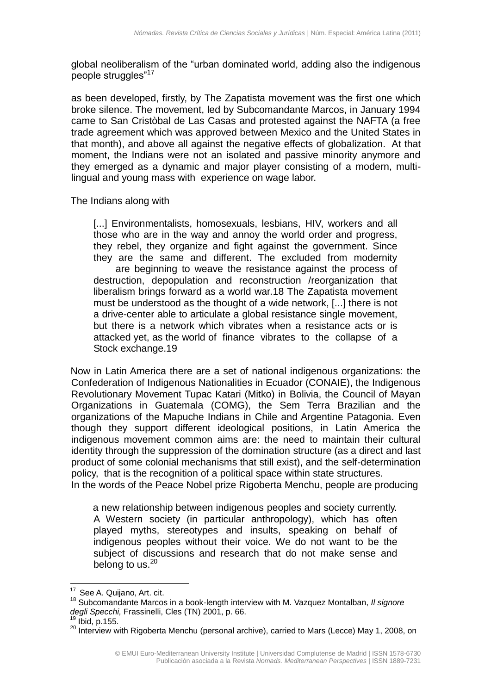global neoliberalism of the "urban dominated world, adding also the indigenous people struggles"<sup>17</sup>

as been developed, firstly, by The Zapatista movement was the first one which broke silence. The movement, led by Subcomandante Marcos, in January 1994 came to San Cristòbal de Las Casas and protested against the NAFTA (a free trade agreement which was approved between Mexico and the United States in that month), and above all against the negative effects of globalization. At that moment, the Indians were not an isolated and passive minority anymore and they emerged as a dynamic and major player consisting of a modern, multilingual and young mass with experience on wage labor.

The Indians along with

[...] Environmentalists, homosexuals, lesbians, HIV, workers and all those who are in the way and annoy the world order and progress, they rebel, they organize and fight against the government. Since they are the same and different. The excluded from modernity are beginning to weave the resistance against the process of destruction, depopulation and reconstruction /reorganization that liberalism brings forward as a world war.18 The Zapatista movement must be understood as the thought of a wide network, [...] there is not a drive-center able to articulate a global resistance single movement, but there is a network which vibrates when a resistance acts or is attacked yet, as the world of finance vibrates to the collapse of a Stock exchange.19

Now in Latin America there are a set of national indigenous organizations: the Confederation of Indigenous Nationalities in Ecuador (CONAIE), the Indigenous Revolutionary Movement Tupac Katari (Mitko) in Bolivia, the Council of Mayan Organizations in Guatemala (COMG), the Sem Terra Brazilian and the organizations of the Mapuche Indians in Chile and Argentine Patagonia. Even though they support different ideological positions, in Latin America the indigenous movement common aims are: the need to maintain their cultural identity through the suppression of the domination structure (as a direct and last product of some colonial mechanisms that still exist), and the self-determination policy, that is the recognition of a political space within state structures. In the words of the Peace Nobel prize Rigoberta Menchu, people are producing

a new relationship between indigenous peoples and society currently. A Western society (in particular anthropology), which has often played myths, stereotypes and insults, speaking on behalf of indigenous peoples without their voice. We do not want to be the subject of discussions and research that do not make sense and belong to us.<sup>20</sup>

 $17$  See A. Quijano, Art. cit.

<sup>18</sup> Subcomandante Marcos in a book-length interview with M. Vazquez Montalban, *Il signore degli Specchi,* Frassinelli, Cles (TN) 2001, p. 66.

Ibid, p.155.

<sup>&</sup>lt;sup>20</sup> Interview with Rigoberta Menchu (personal archive), carried to Mars (Lecce) May 1, 2008, on